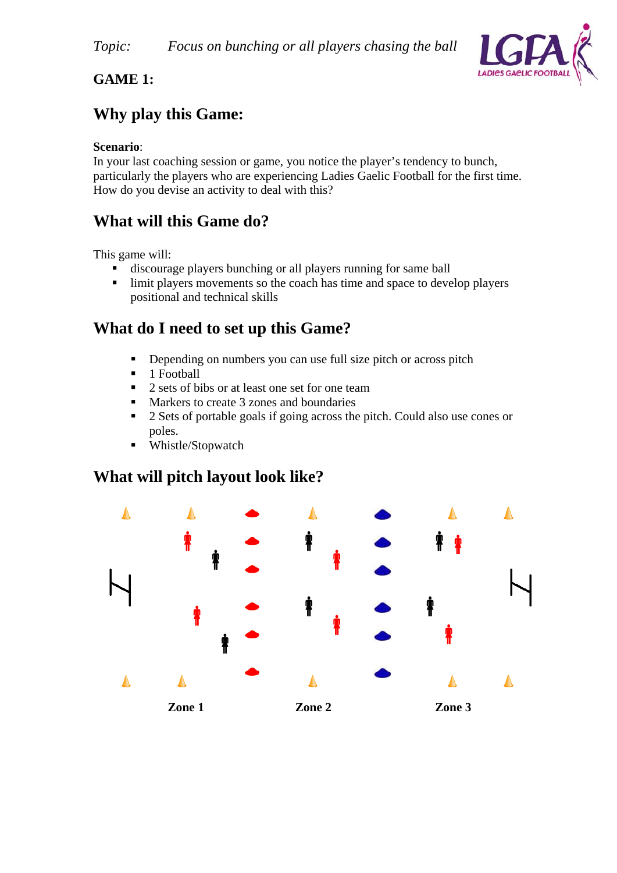

### **GAME 1:**

## **Why play this Game:**

#### **Scenario**:

In your last coaching session or game, you notice the player's tendency to bunch, particularly the players who are experiencing Ladies Gaelic Football for the first time. How do you devise an activity to deal with this?

### **What will this Game do?**

This game will:

- discourage players bunching or all players running for same ball
- Imit players movements so the coach has time and space to develop players positional and technical skills

## **What do I need to set up this Game?**

- Depending on numbers you can use full size pitch or across pitch
- $\blacksquare$  1 Football
- 2 sets of bibs or at least one set for one team
- **Markers to create 3 zones and boundaries**
- <sup>2</sup> 2 Sets of portable goals if going across the pitch. Could also use cones or poles.
- Whistle/Stopwatch

### **What will pitch layout look like?**

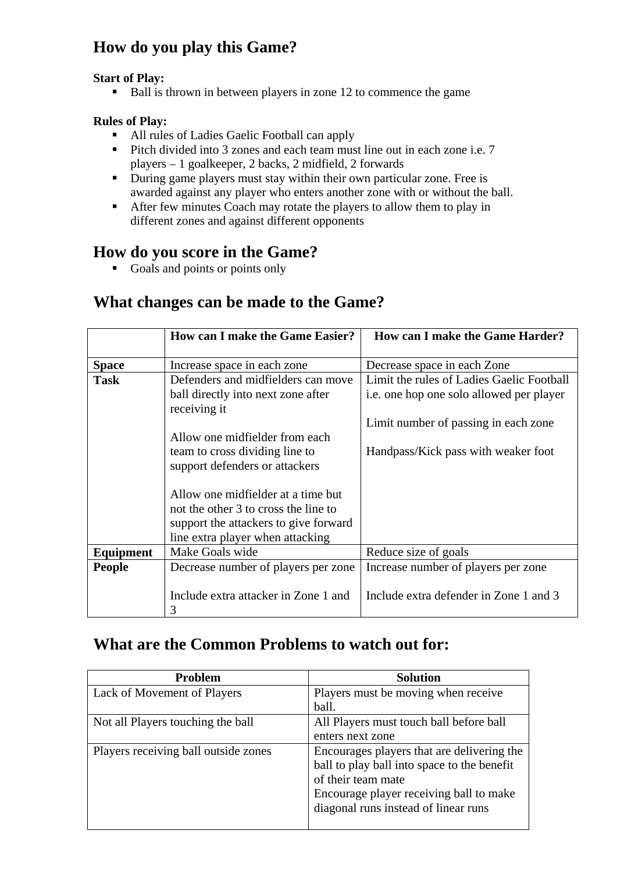# **How do you play this Game?**

#### **Start of Play:**

Ball is thrown in between players in zone 12 to commence the game

#### **Rules of Play:**

- All rules of Ladies Gaelic Football can apply
- Pitch divided into 3 zones and each team must line out in each zone i.e. 7 players – 1 goalkeeper, 2 backs, 2 midfield, 2 forwards
- During game players must stay within their own particular zone. Free is awarded against any player who enters another zone with or without the ball.
- After few minutes Coach may rotate the players to allow them to play in different zones and against different opponents

#### **How do you score in the Game?**

Goals and points or points only

## **What changes can be made to the Game?**

|               | <b>How can I make the Game Easier?</b> | How can I make the Game Harder?           |
|---------------|----------------------------------------|-------------------------------------------|
|               |                                        |                                           |
| <b>Space</b>  | Increase space in each zone            | Decrease space in each Zone               |
| Task          | Defenders and midfielders can move     | Limit the rules of Ladies Gaelic Football |
|               | ball directly into next zone after     | i.e. one hop one solo allowed per player  |
|               | receiving it                           |                                           |
|               |                                        | Limit number of passing in each zone      |
|               | Allow one midfielder from each         |                                           |
|               | team to cross dividing line to         | Handpass/Kick pass with weaker foot       |
|               | support defenders or attackers         |                                           |
|               |                                        |                                           |
|               | Allow one midfielder at a time but     |                                           |
|               | not the other 3 to cross the line to   |                                           |
|               | support the attackers to give forward  |                                           |
|               | line extra player when attacking       |                                           |
| Equipment     | Make Goals wide                        | Reduce size of goals                      |
| <b>People</b> | Decrease number of players per zone    | Increase number of players per zone       |
|               |                                        |                                           |
|               | Include extra attacker in Zone 1 and   | Include extra defender in Zone 1 and 3    |
|               | 3                                      |                                           |

## **What are the Common Problems to watch out for:**

| <b>Problem</b>                       | <b>Solution</b>                             |
|--------------------------------------|---------------------------------------------|
| Lack of Movement of Players          | Players must be moving when receive         |
|                                      | ball.                                       |
| Not all Players touching the ball    | All Players must touch ball before ball     |
|                                      | enters next zone                            |
| Players receiving ball outside zones | Encourages players that are delivering the  |
|                                      | ball to play ball into space to the benefit |
|                                      | of their team mate                          |
|                                      | Encourage player receiving ball to make     |
|                                      | diagonal runs instead of linear runs        |
|                                      |                                             |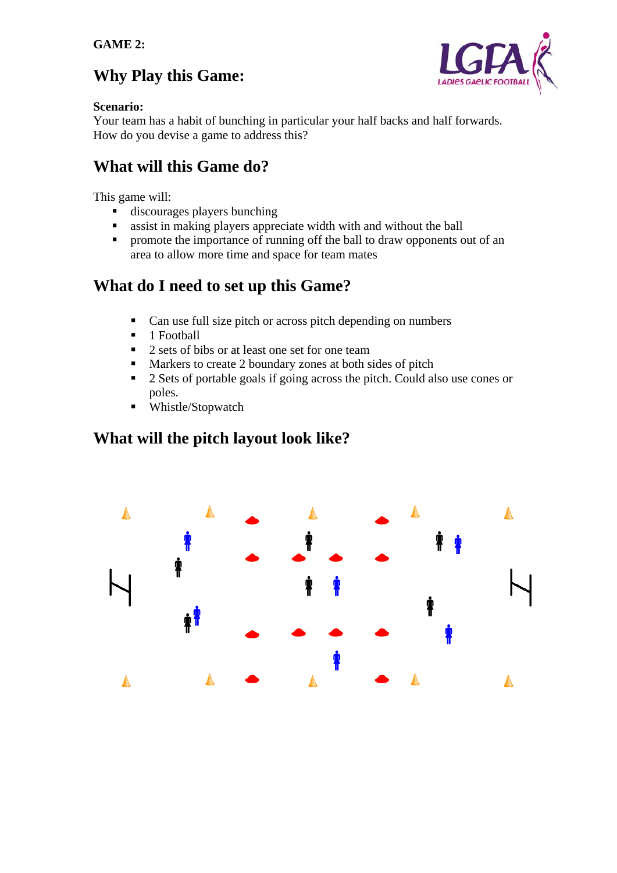## **Why Play this Game:**



#### **Scenario:**

Your team has a habit of bunching in particular your half backs and half forwards. How do you devise a game to address this?

## **What will this Game do?**

This game will:

- discourages players bunching
- assist in making players appreciate width with and without the ball
- **Peromote the importance of running off the ball to draw opponents out of an** area to allow more time and space for team mates

## **What do I need to set up this Game?**

- Can use full size pitch or across pitch depending on numbers
- $\blacksquare$  1 Football
- 2 sets of bibs or at least one set for one team
- **Markers to create 2 boundary zones at both sides of pitch**
- 2 Sets of portable goals if going across the pitch. Could also use cones or poles.
- Whistle/Stopwatch

### **What will the pitch layout look like?**